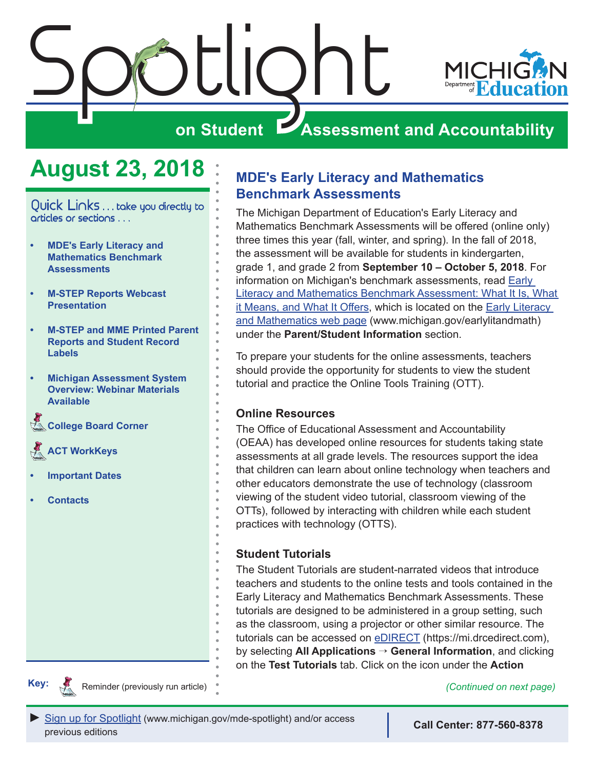<span id="page-0-0"></span>

### **August 23, 2018**

Quick Links . . . take you directly to articles or sections . . .

- **• MDE's Early Literacy and Mathematics Benchmark Assessments**
- **• [M-STEP Reports Webcast](#page-1-0)  [Presentation](#page-1-0)**
- **• [M-STEP and MME Printed Parent](#page-2-0)  [Reports and Student Record](#page-2-0)  [Labels](#page-2-0)**
- **• [Michigan Assessment System](#page-2-0)  [Overview: Webinar Materials](#page-2-0)  [Available](#page-2-0)**

**College Board Corner** 

Reminders **[ACT WorkKeys](#page-4-0)** 

- **• [Important Dates](#page-5-0)**
- **• [Contacts](#page-6-0)**

#### **MDE's Early Literacy and Mathematics Benchmark Assessments**

The Michigan Department of Education's Early Literacy and Mathematics Benchmark Assessments will be offered (online only) three times this year (fall, winter, and spring). In the fall of 2018, the assessment will be available for students in kindergarten, grade 1, and grade 2 from **September 10 – October 5, 2018**. For information on Michigan's benchmark assessments, read [Early](https://www.michigan.gov/documents/mde/Early_Literacy_and_Mathematics_Benchmark_Assessment_What_it_Is_What_it_Means_and_What_if_Offers_605069_7.pdf)  [Literacy and Mathematics Benchmark Assessment: What It Is, What](https://www.michigan.gov/documents/mde/Early_Literacy_and_Mathematics_Benchmark_Assessment_What_it_Is_What_it_Means_and_What_if_Offers_605069_7.pdf)  [it Means, and What It Offers,](https://www.michigan.gov/documents/mde/Early_Literacy_and_Mathematics_Benchmark_Assessment_What_it_Is_What_it_Means_and_What_if_Offers_605069_7.pdf) which is located on the [Early Literacy](www.michigan.gov/earlylitandmath)  [and Mathematics web page](www.michigan.gov/earlylitandmath) (www.michigan.gov/earlylitandmath) under the **Parent/Student Information** section.

To prepare your students for the online assessments, teachers should provide the opportunity for students to view the student tutorial and practice the Online Tools Training (OTT).

#### **Online Resources**

The Office of Educational Assessment and Accountability (OEAA) has developed online resources for students taking state assessments at all grade levels. The resources support the idea that children can learn about online technology when teachers and other educators demonstrate the use of technology (classroom viewing of the student video tutorial, classroom viewing of the OTTs), followed by interacting with children while each student practices with technology (OTTS).

#### **Student Tutorials**

The Student Tutorials are student-narrated videos that introduce teachers and students to the online tests and tools contained in the Early Literacy and Mathematics Benchmark Assessments. These tutorials are designed to be administered in a group setting, such as the classroom, using a projector or other similar resource. The tutorials can be accessed on [eDIRECT](https://mi.drcedirect.com) (https://mi.drcedirect.com), by selecting **All Applications** → **General Information**, and clicking on the **Test Tutorials** tab. Click on the icon under the **Action**



Reminder (previously run article) *(Continued on next page)*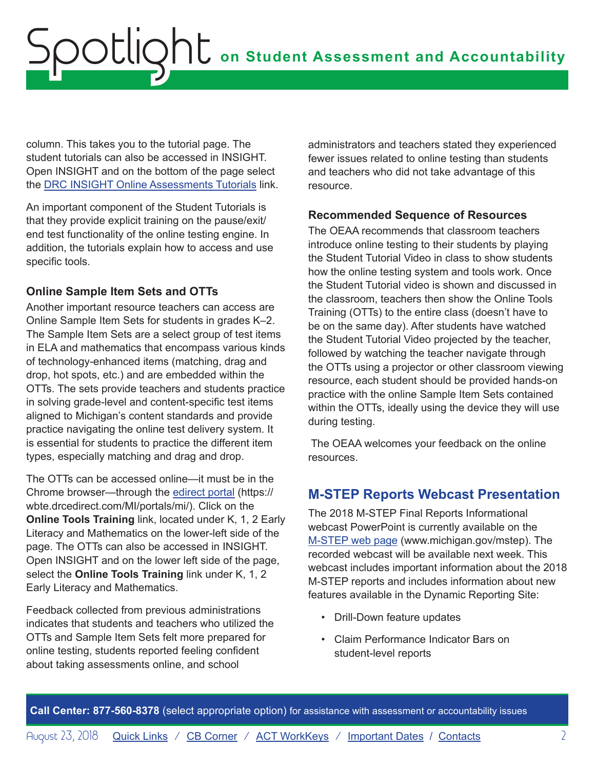<span id="page-1-0"></span>column. This takes you to the tutorial page. The student tutorials can also be accessed in INSIGHT. Open INSIGHT and on the bottom of the page select the [DRC INSIGHT Online Assessments Tutorials](https://assets.drcedirect.com/States/MI/Tutorials/Student/20180423/index.html) link.

An important component of the Student Tutorials is that they provide explicit training on the pause/exit/ end test functionality of the online testing engine. In addition, the tutorials explain how to access and use specific tools.

#### **Online Sample Item Sets and OTTs**

Another important resource teachers can access are Online Sample Item Sets for students in grades K–2. The Sample Item Sets are a select group of test items in ELA and mathematics that encompass various kinds of technology-enhanced items (matching, drag and drop, hot spots, etc.) and are embedded within the OTTs. The sets provide teachers and students practice in solving grade-level and content-specific test items aligned to Michigan's content standards and provide practice navigating the online test delivery system. It is essential for students to practice the different item types, especially matching and drag and drop.

The OTTs can be accessed online—it must be in the Chrome browser—through the [edirect portal](https://wbte.drcedirect.com/MI/portals/mi/) (https:// wbte.drcedirect.com/MI/portals/mi/). Click on the **Online Tools Training** link, located under K, 1, 2 Early Literacy and Mathematics on the lower-left side of the page. The OTTs can also be accessed in INSIGHT. Open INSIGHT and on the lower left side of the page, select the **Online Tools Training** link under K, 1, 2 Early Literacy and Mathematics.

Feedback collected from previous administrations indicates that students and teachers who utilized the OTTs and Sample Item Sets felt more prepared for online testing, students reported feeling confident about taking assessments online, and school

administrators and teachers stated they experienced fewer issues related to online testing than students and teachers who did not take advantage of this resource.

#### **Recommended Sequence of Resources**

The OEAA recommends that classroom teachers introduce online testing to their students by playing the Student Tutorial Video in class to show students how the online testing system and tools work. Once the Student Tutorial video is shown and discussed in the classroom, teachers then show the Online Tools Training (OTTs) to the entire class (doesn't have to be on the same day). After students have watched the Student Tutorial Video projected by the teacher, followed by watching the teacher navigate through the OTTs using a projector or other classroom viewing resource, each student should be provided hands-on practice with the online Sample Item Sets contained within the OTTs, ideally using the device they will use during testing.

 The OEAA welcomes your feedback on the online resources.

#### **M-STEP Reports Webcast Presentation**

The 2018 M-STEP Final Reports Informational webcast PowerPoint is currently available on the [M-STEP web page](www.michigan.gov/mstep) (www.michigan.gov/mstep). The recorded webcast will be available next week. This webcast includes important information about the 2018 M-STEP reports and includes information about new features available in the Dynamic Reporting Site:

- Drill-Down feature updates
- Claim Performance Indicator Bars on student-level reports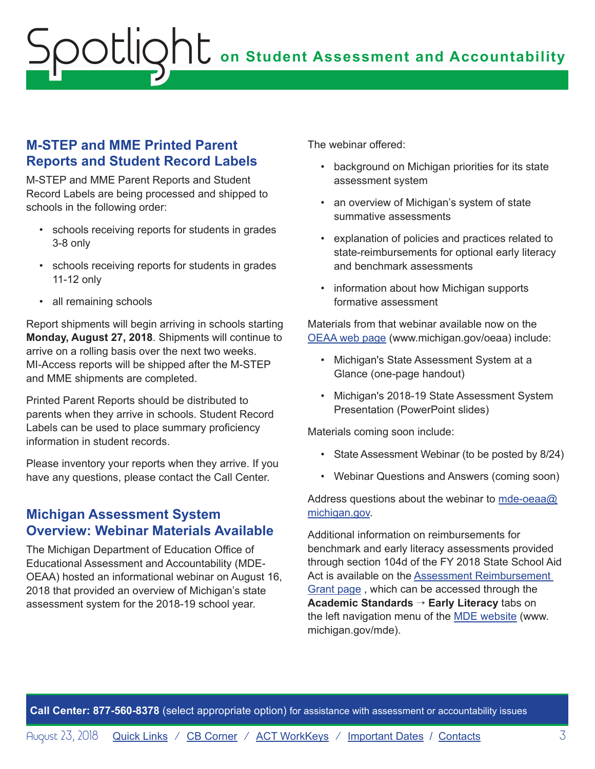# <span id="page-2-0"></span>**on Student Assessment and Accountability** Spotlight

#### **M-STEP and MME Printed Parent Reports and Student Record Labels**

M-STEP and MME Parent Reports and Student Record Labels are being processed and shipped to schools in the following order:

- schools receiving reports for students in grades 3-8 only
- schools receiving reports for students in grades 11-12 only
- all remaining schools

Report shipments will begin arriving in schools starting **Monday, August 27, 2018**. Shipments will continue to arrive on a rolling basis over the next two weeks. MI-Access reports will be shipped after the M-STEP and MME shipments are completed.

Printed Parent Reports should be distributed to parents when they arrive in schools. Student Record Labels can be used to place summary proficiency information in student records.

Please inventory your reports when they arrive. If you have any questions, please contact the Call Center.

#### **Michigan Assessment System Overview: Webinar Materials Available**

The Michigan Department of Education Office of Educational Assessment and Accountability (MDE-OEAA) hosted an informational webinar on August 16, 2018 that provided an overview of Michigan's state assessment system for the 2018-19 school year.

The webinar offered:

- background on Michigan priorities for its state assessment system
- an overview of Michigan's system of state summative assessments
- explanation of policies and practices related to state-reimbursements for optional early literacy and benchmark assessments
- information about how Michigan supports formative assessment

Materials from that webinar available now on the [OEAA web page](http://www.michigan.gov/oeaa) (www.michigan.gov/oeaa) include:

- Michigan's State Assessment System at a Glance (one-page handout)
- Michigan's 2018-19 State Assessment System Presentation (PowerPoint slides)

Materials coming soon include:

- State Assessment Webinar (to be posted by 8/24)
- Webinar Questions and Answers (coming soon)

Address questions about the webinar to [mde-oeaa@](mailto:mde-oeaa%40michigan.gov?subject=) [michigan.gov.](mailto:mde-oeaa%40michigan.gov?subject=)

Additional information on reimbursements for benchmark and early literacy assessments provided through section 104d of the FY 2018 State School Aid Act is available on the [Assessment Reimbursement](http://www.michigan.gov/mde/0,4615,7-140-28753_74161-367697--,00.html)  [Grant page](http://www.michigan.gov/mde/0,4615,7-140-28753_74161-367697--,00.html) , which can be accessed through the **Academic Standards** → **Early Literacy** tabs on the left navigation menu of the [MDE website](http://www.michigan.gov/mde) (www. michigan.gov/mde).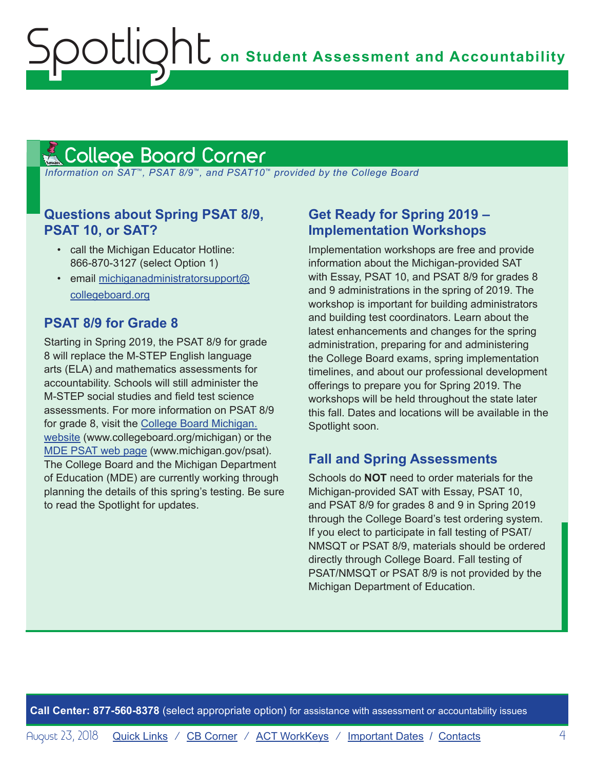### <span id="page-3-1"></span><span id="page-3-0"></span><u>A College Board Corner </u>

 *Information on SAT*™*, PSAT 8/9*™*, and PSAT10*™ *provided by the College Board*

#### **Questions about Spring PSAT 8/9, PSAT 10, or SAT?**

- call the Michigan Educator Hotline: 866-870-3127 (select Option 1)
- email [michiganadministratorsupport@](mailto:michiganadministratorsupport%40collegeboard.org?subject=) [collegeboard.org](mailto:michiganadministratorsupport%40collegeboard.org?subject=)

#### **PSAT 8/9 for Grade 8**

Starting in Spring 2019, the PSAT 8/9 for grade 8 will replace the M-STEP English language arts (ELA) and mathematics assessments for accountability. Schools will still administer the M-STEP social studies and field test science assessments. For more information on PSAT 8/9 for grade 8, visit the [College Board Michigan.](http://www.collegeboard.org/michigan) [website](http://www.collegeboard.org/michigan) (www.collegeboard.org/michigan) or the [MDE PSAT web page](http://www.michigan.gov/psat) (www.michigan.gov/psat). The College Board and the Michigan Department of Education (MDE) are currently working through planning the details of this spring's testing. Be sure to read the Spotlight for updates.

#### **Get Ready for Spring 2019 – Implementation Workshops**

Implementation workshops are free and provide information about the Michigan-provided SAT with Essay, PSAT 10, and PSAT 8/9 for grades 8 and 9 administrations in the spring of 2019. The workshop is important for building administrators and building test coordinators. Learn about the latest enhancements and changes for the spring administration, preparing for and administering the College Board exams, spring implementation timelines, and about our professional development offerings to prepare you for Spring 2019. The workshops will be held throughout the state later this fall. Dates and locations will be available in the Spotlight soon.

#### **Fall and Spring Assessments**

Schools do **NOT** need to order materials for the Michigan-provided SAT with Essay, PSAT 10, and PSAT 8/9 for grades 8 and 9 in Spring 2019 through the College Board's test ordering system. If you elect to participate in fall testing of PSAT/ NMSQT or PSAT 8/9, materials should be ordered directly through College Board. Fall testing of PSAT/NMSQT or PSAT 8/9 is not provided by the Michigan Department of Education.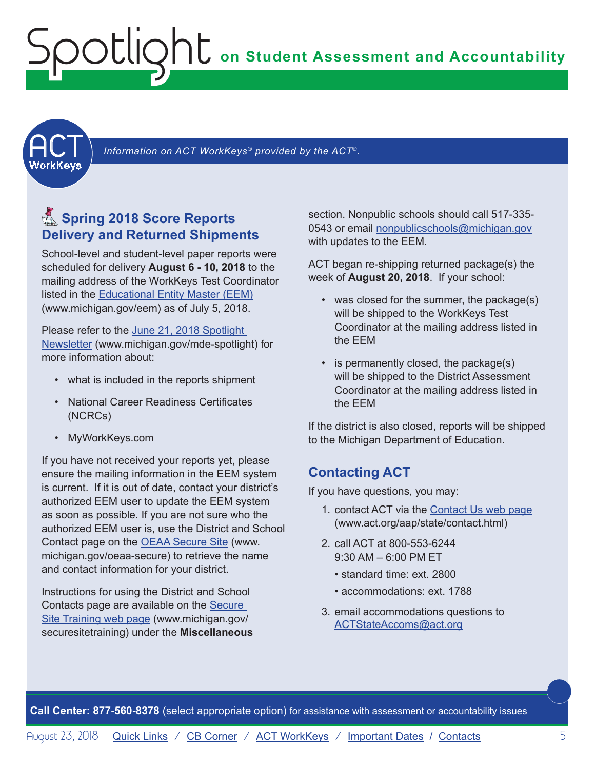### <span id="page-4-0"></span>**on Student Assessment and Accountability** Spotlight

<span id="page-4-1"></span>

Information on ACT WorkKeys<sup>®</sup> provided by the ACT<sup>®</sup>.

#### **图 Spring 2018 Score Reports Delivery and Returned Shipments**

School-level and student-level paper reports were scheduled for delivery **August 6 - 10, 2018** to the mailing address of the WorkKeys Test Coordinator listed in the [Educational Entity Master \(EEM\)](www.michigan.gov/EEM) (www.michigan.gov/eem) as of July 5, 2018.

Please refer to the [June 21, 2018 Spotlight](https://www.michigan.gov/documents/mde/Spotlight_6-21-18_626037_7.pdf)  [Newsletter](https://www.michigan.gov/documents/mde/Spotlight_6-21-18_626037_7.pdf) (www.michigan.gov/mde-spotlight) for more information about:

- what is included in the reports shipment
- National Career Readiness Certificates (NCRCs)
- MyWorkKeys.com

If you have not received your reports yet, please ensure the mailing information in the EEM system is current. If it is out of date, contact your district's authorized EEM user to update the EEM system as soon as possible. If you are not sure who the authorized EEM user is, use the District and School Contact page on the [OEAA Secure Site](http://www.michigan.gov/oeaa-secure) (www. michigan.gov/oeaa-secure) to retrieve the name and contact information for your district.

Instructions for using the District and School Contacts page are available on the [Secure](http://www.michigan.gov/securesitetraining)  [Site Training web page](http://www.michigan.gov/securesitetraining) (www.michigan.gov/ securesitetraining) under the **Miscellaneous**

section. Nonpublic schools should call 517-335- 0543 or email [nonpublicschools@michigan.gov](mailto:nonpublicschools%40michigan.gov?subject=) with updates to the EEM.

ACT began re-shipping returned package(s) the week of **August 20, 2018**. If your school:

- was closed for the summer, the package(s) will be shipped to the WorkKeys Test Coordinator at the mailing address listed in the EEM
- is permanently closed, the package(s) will be shipped to the District Assessment Coordinator at the mailing address listed in the EEM

If the district is also closed, reports will be shipped to the Michigan Department of Education.

#### **Contacting ACT**

If you have questions, you may:

- 1. contact ACT via the [Contact Us web page](http://www.act.org/aap/state/contact.html) [\(www.act.org/aap/state/contact.html\)](www.act.org/aap/state/contact.html)
- 2. call ACT at 800-553-6244  $9:30$  AM – 6:00 PM FT
	- standard time: ext. 2800
	- accommodations: ext. 1788
- 3. email accommodations questions to [ACTStateAccoms@act.org](mailto:ACTStateAccoms%40act.org?subject=)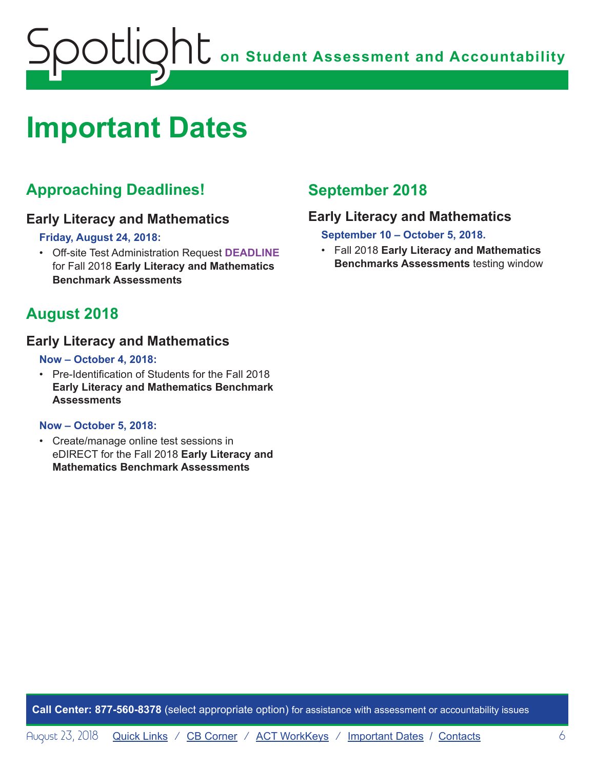<span id="page-5-0"></span>

### <span id="page-5-1"></span>**Important Dates**

#### **Approaching Deadlines!**

#### **Early Literacy and Mathematics**

**Friday, August 24, 2018:**

• Off-site Test Administration Request **DEADLINE** for Fall 2018 **Early Literacy and Mathematics Benchmark Assessments**

#### **August 2018**

#### **Early Literacy and Mathematics**

#### **Now – October 4, 2018:**

• Pre-Identification of Students for the Fall 2018 **Early Literacy and Mathematics Benchmark Assessments**

#### **Now – October 5, 2018:**

• Create/manage online test sessions in eDIRECT for the Fall 2018 **Early Literacy and Mathematics Benchmark Assessments**

#### **September 2018**

#### **Early Literacy and Mathematics**

**September 10 – October 5, 2018.**

• Fall 2018 **Early Literacy and Mathematics Benchmarks Assessments** testing window